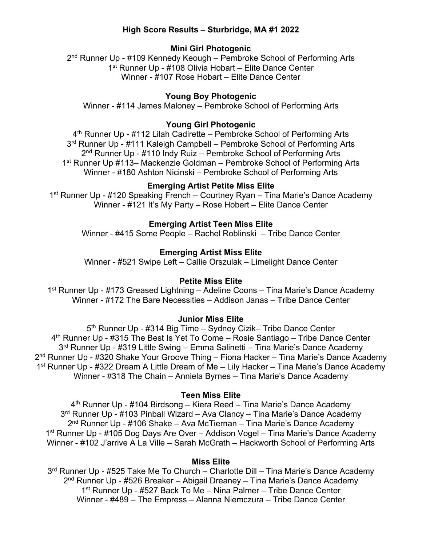# **High Score Results – Sturbridge, MA #1 2022**

# **Mini Girl Photogenic**

2<sup>nd</sup> Runner Up - #109 Kennedy Keough – Pembroke School of Performing Arts 1<sup>st</sup> Runner Up - #108 Olivia Hobart – Elite Dance Center Winner - #107 Rose Hobart – Elite Dance Center

### **Young Boy Photogenic**

Winner - #114 James Maloney – Pembroke School of Performing Arts

# **Young Girl Photogenic**

4<sup>th</sup> Runner Up - #112 Lilah Cadirette – Pembroke School of Performing Arts 3<sup>rd</sup> Runner Up - #111 Kaleigh Campbell – Pembroke School of Performing Arts 2<sup>nd</sup> Runner Up - #110 Indy Ruiz – Pembroke School of Performing Arts 1st Runner Up #113– Mackenzie Goldman – Pembroke School of Performing Arts Winner - #180 Ashton Nicinski – Pembroke School of Performing Arts

## **Emerging Artist Petite Miss Elite**

1<sup>st</sup> Runner Up - #120 Speaking French – Courtney Ryan – Tina Marie's Dance Academy Winner - #121 It's My Party – Rose Hobert – Elite Dance Center

### **Emerging Artist Teen Miss Elite**

Winner - #415 Some People – Rachel Roblinski – Tribe Dance Center

#### **Emerging Artist Miss Elite**

Winner - #521 Swipe Left – Callie Orszulak – Limelight Dance Center

#### **Petite Miss Elite**

1<sup>st</sup> Runner Up - #173 Greased Lightning – Adeline Coons – Tina Marie's Dance Academy Winner - #172 The Bare Necessities – Addison Janas – Tribe Dance Center

#### **Junior Miss Elite**

5<sup>th</sup> Runner Up - #314 Big Time – Sydney Cizik– Tribe Dance Center 4th Runner Up - #315 The Best Is Yet To Come – Rosie Santiago – Tribe Dance Center 3rd Runner Up - #319 Little Swing – Emma Salinetti – Tina Marie's Dance Academy 2<sup>nd</sup> Runner Up - #320 Shake Your Groove Thing – Fiona Hacker – Tina Marie's Dance Academy 1st Runner Up - #322 Dream A Little Dream of Me – Lily Hacker – Tina Marie's Dance Academy Winner - #318 The Chain – Anniela Byrnes – Tina Marie's Dance Academy

## **Teen Miss Elite**

4<sup>th</sup> Runner Up - #104 Birdsong – Kiera Reed – Tina Marie's Dance Academy 3<sup>rd</sup> Runner Up - #103 Pinball Wizard – Ava Clancy – Tina Marie's Dance Academy  $2<sup>nd</sup>$  Runner Up - #106 Shake – Ava McTiernan – Tina Marie's Dance Academy 1<sup>st</sup> Runner Up - #105 Dog Days Are Over – Addison Vogel – Tina Marie's Dance Academy Winner - #102 J'arrive A La Ville – Sarah McGrath – Hackworth School of Performing Arts

#### **Miss Elite**

3<sup>rd</sup> Runner Up - #525 Take Me To Church – Charlotte Dill – Tina Marie's Dance Academy 2<sup>nd</sup> Runner Up - #526 Breaker – Abigail Dreaney – Tina Marie's Dance Academy 1st Runner Up - #527 Back To Me – Nina Palmer – Tribe Dance Center Winner - #489 – The Empress – Alanna Niemczura – Tribe Dance Center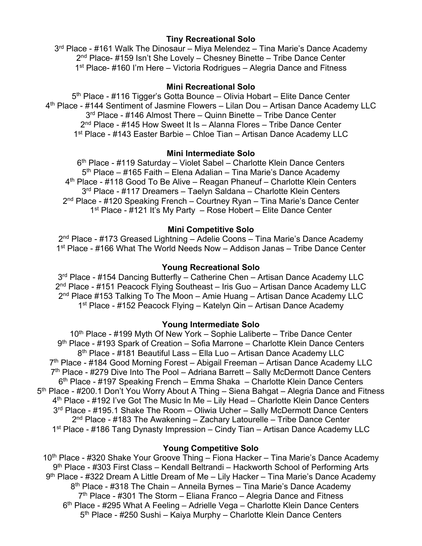# **Tiny Recreational Solo**

3<sup>rd</sup> Place - #161 Walk The Dinosaur – Miya Melendez – Tina Marie's Dance Academy 2<sup>nd</sup> Place- #159 Isn't She Lovely – Chesney Binette – Tribe Dance Center 1<sup>st</sup> Place- #160 I'm Here – Victoria Rodrigues – Alegria Dance and Fitness

### **Mini Recreational Solo**

5<sup>th</sup> Place - #116 Tigger's Gotta Bounce – Olivia Hobart – Elite Dance Center 4th Place - #144 Sentiment of Jasmine Flowers – Lilan Dou – Artisan Dance Academy LLC 3<sup>rd</sup> Place - #146 Almost There – Quinn Binette – Tribe Dance Center 2<sup>nd</sup> Place - #145 How Sweet It Is – Alanna Flores – Tribe Dance Center 1st Place - #143 Easter Barbie – Chloe Tian – Artisan Dance Academy LLC

### **Mini Intermediate Solo**

6th Place - #119 Saturday – Violet Sabel – Charlotte Klein Dance Centers 5<sup>th</sup> Place – #165 Faith – Elena Adalian – Tina Marie's Dance Academy 4<sup>th</sup> Place - #118 Good To Be Alive – Reagan Phaneuf – Charlotte Klein Centers 3<sup>rd</sup> Place - #117 Dreamers - Taelyn Saldana - Charlotte Klein Centers 2<sup>nd</sup> Place - #120 Speaking French – Courtney Ryan – Tina Marie's Dance Center 1<sup>st</sup> Place - #121 It's My Party – Rose Hobert – Elite Dance Center

#### **Mini Competitive Solo**

2nd Place - #173 Greased Lightning – Adelie Coons – Tina Marie's Dance Academy 1st Place - #166 What The World Needs Now – Addison Janas – Tribe Dance Center

#### **Young Recreational Solo**

3<sup>rd</sup> Place - #154 Dancing Butterfly – Catherine Chen – Artisan Dance Academy LLC 2nd Place - #151 Peacock Flying Southeast – Iris Guo – Artisan Dance Academy LLC 2<sup>nd</sup> Place #153 Talking To The Moon – Amie Huang – Artisan Dance Academy LLC 1<sup>st</sup> Place - #152 Peacock Flying – Katelyn Qin – Artisan Dance Academy

#### **Young Intermediate Solo**

10<sup>th</sup> Place - #199 Myth Of New York – Sophie Laliberte – Tribe Dance Center 9th Place - #193 Spark of Creation – Sofia Marrone – Charlotte Klein Dance Centers 8th Place - #181 Beautiful Lass – Ella Luo – Artisan Dance Academy LLC 7th Place - #184 Good Morning Forest – Abigail Freeman – Artisan Dance Academy LLC  $7<sup>th</sup>$  Place - #279 Dive Into The Pool – Adriana Barrett – Sally McDermott Dance Centers 6th Place - #197 Speaking French – Emma Shaka – Charlotte Klein Dance Centers 5th Place - #200.1 Don't You Worry About A Thing – Siena Bahgat – Alegria Dance and Fitness 4<sup>th</sup> Place - #192 I've Got The Music In Me – Lily Head – Charlotte Klein Dance Centers 3rd Place - #195.1 Shake The Room – Oliwia Ucher – Sally McDermott Dance Centers  $2<sup>nd</sup>$  Place - #183 The Awakening – Zachary Latourelle – Tribe Dance Center 1st Place - #186 Tang Dynasty Impression – Cindy Tian – Artisan Dance Academy LLC

### **Young Competitive Solo**

10<sup>th</sup> Place - #320 Shake Your Groove Thing – Fiona Hacker – Tina Marie's Dance Academy 9th Place - #303 First Class – Kendall Beltrandi – Hackworth School of Performing Arts  $9<sup>th</sup>$  Place - #322 Dream A Little Dream of Me – Lily Hacker – Tina Marie's Dance Academy 8<sup>th</sup> Place - #318 The Chain – Anneila Byrnes – Tina Marie's Dance Academy  $7<sup>th</sup>$  Place - #301 The Storm – Eliana Franco – Alegria Dance and Fitness 6<sup>th</sup> Place - #295 What A Feeling – Adrielle Vega – Charlotte Klein Dance Centers 5<sup>th</sup> Place - #250 Sushi – Kaiya Murphy – Charlotte Klein Dance Centers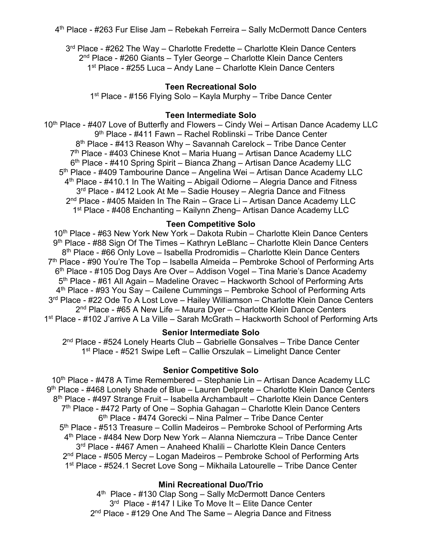4th Place - #263 Fur Elise Jam – Rebekah Ferreira – Sally McDermott Dance Centers

 $3<sup>rd</sup>$  Place - #262 The Way – Charlotte Fredette – Charlotte Klein Dance Centers 2<sup>nd</sup> Place - #260 Giants – Tyler George – Charlotte Klein Dance Centers 1<sup>st</sup> Place - #255 Luca – Andy Lane – Charlotte Klein Dance Centers

# **Teen Recreational Solo**

1<sup>st</sup> Place - #156 Flying Solo – Kayla Murphy – Tribe Dance Center

#### **Teen Intermediate Solo**

10<sup>th</sup> Place - #407 Love of Butterfly and Flowers – Cindy Wei – Artisan Dance Academy LLC 9th Place - #411 Fawn – Rachel Roblinski – Tribe Dance Center 8<sup>th</sup> Place - #413 Reason Why – Savannah Carelock – Tribe Dance Center 7th Place - #403 Chinese Knot – Maria Huang – Artisan Dance Academy LLC 6<sup>th</sup> Place - #410 Spring Spirit – Bianca Zhang – Artisan Dance Academy LLC 5th Place - #409 Tambourine Dance – Angelina Wei – Artisan Dance Academy LLC 4th Place - #410.1 In The Waiting – Abigail Odiorne – Alegria Dance and Fitness 3<sup>rd</sup> Place - #412 Look At Me – Sadie Housey – Alegria Dance and Fitness 2<sup>nd</sup> Place - #405 Maiden In The Rain – Grace Li – Artisan Dance Academy LLC 1st Place - #408 Enchanting – Kailynn Zheng– Artisan Dance Academy LLC

#### **Teen Competitive Solo**

10<sup>th</sup> Place - #63 New York New York – Dakota Rubin – Charlotte Klein Dance Centers 9<sup>th</sup> Place - #88 Sign Of The Times – Kathryn LeBlanc – Charlotte Klein Dance Centers 8<sup>th</sup> Place - #66 Only Love – Isabella Prodromidis – Charlotte Klein Dance Centers 7<sup>th</sup> Place - #90 You're The Top – Isabella Almeida – Pembroke School of Performing Arts 6<sup>th</sup> Place - #105 Dog Days Are Over - Addison Vogel - Tina Marie's Dance Academy 5th Place - #61 All Again – Madeline Oravec – Hackworth School of Performing Arts 4th Place - #93 You Say – Cailene Cummings – Pembroke School of Performing Arts 3<sup>rd</sup> Place - #22 Ode To A Lost Love – Hailey Williamson – Charlotte Klein Dance Centers 2<sup>nd</sup> Place - #65 A New Life – Maura Dyer – Charlotte Klein Dance Centers 1st Place - #102 J'arrive A La Ville – Sarah McGrath – Hackworth School of Performing Arts

# **Senior Intermediate Solo**

2<sup>nd</sup> Place - #524 Lonely Hearts Club – Gabrielle Gonsalves – Tribe Dance Center 1st Place - #521 Swipe Left – Callie Orszulak – Limelight Dance Center

#### **Senior Competitive Solo**

10<sup>th</sup> Place - #478 A Time Remembered – Stephanie Lin – Artisan Dance Academy LLC 9<sup>th</sup> Place - #468 Lonely Shade of Blue – Lauren Delprete – Charlotte Klein Dance Centers 8<sup>th</sup> Place - #497 Strange Fruit – Isabella Archambault – Charlotte Klein Dance Centers 7<sup>th</sup> Place - #472 Party of One – Sophia Gahagan – Charlotte Klein Dance Centers 6th Place - #474 Gorecki – Nina Palmer – Tribe Dance Center 5<sup>th</sup> Place - #513 Treasure – Collin Madeiros – Pembroke School of Performing Arts 4th Place - #484 New Dorp New York – Alanna Niemczura – Tribe Dance Center 3<sup>rd</sup> Place - #467 Amen - Anaheed Khalili - Charlotte Klein Dance Centers 2<sup>nd</sup> Place - #505 Mercy – Logan Madeiros – Pembroke School of Performing Arts 1<sup>st</sup> Place - #524.1 Secret Love Song – Mikhaila Latourelle – Tribe Dance Center

### **Mini Recreational Duo/Trio**

4th Place - #130 Clap Song – Sally McDermott Dance Centers 3<sup>rd</sup> Place - #147 I Like To Move It - Elite Dance Center 2<sup>nd</sup> Place - #129 One And The Same – Alegria Dance and Fitness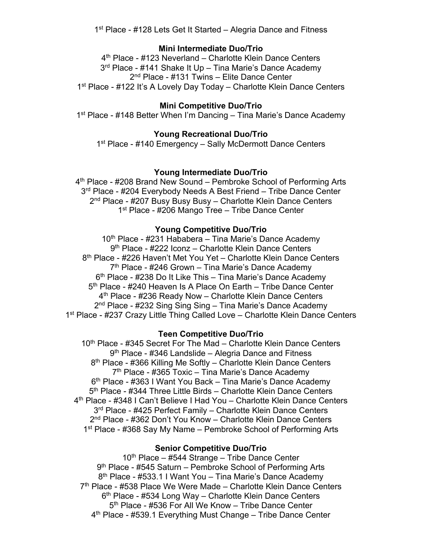1<sup>st</sup> Place - #128 Lets Get It Started – Alegria Dance and Fitness

### **Mini Intermediate Duo/Trio**

4<sup>th</sup> Place - #123 Neverland – Charlotte Klein Dance Centers 3<sup>rd</sup> Place - #141 Shake It Up - Tina Marie's Dance Academy 2<sup>nd</sup> Place - #131 Twins – Elite Dance Center 1<sup>st</sup> Place - #122 It's A Lovely Day Today – Charlotte Klein Dance Centers

# **Mini Competitive Duo/Trio**

1<sup>st</sup> Place - #148 Better When I'm Dancing – Tina Marie's Dance Academy

# **Young Recreational Duo/Trio**

1<sup>st</sup> Place - #140 Emergency – Sally McDermott Dance Centers

### **Young Intermediate Duo/Trio**

4th Place - #208 Brand New Sound – Pembroke School of Performing Arts 3<sup>rd</sup> Place - #204 Everybody Needs A Best Friend - Tribe Dance Center 2<sup>nd</sup> Place - #207 Busy Busy Busy – Charlotte Klein Dance Centers 1<sup>st</sup> Place - #206 Mango Tree – Tribe Dance Center

### **Young Competitive Duo/Trio**

10<sup>th</sup> Place - #231 Hababera – Tina Marie's Dance Academy 9th Place - #222 Iconz – Charlotte Klein Dance Centers 8<sup>th</sup> Place - #226 Haven't Met You Yet – Charlotte Klein Dance Centers  $7<sup>th</sup>$  Place - #246 Grown – Tina Marie's Dance Academy 6<sup>th</sup> Place - #238 Do It Like This – Tina Marie's Dance Academy 5<sup>th</sup> Place - #240 Heaven Is A Place On Earth – Tribe Dance Center 4th Place - #236 Ready Now – Charlotte Klein Dance Centers 2<sup>nd</sup> Place - #232 Sing Sing Sing – Tina Marie's Dance Academy 1<sup>st</sup> Place - #237 Crazy Little Thing Called Love – Charlotte Klein Dance Centers

### **Teen Competitive Duo/Trio**

10<sup>th</sup> Place - #345 Secret For The Mad – Charlotte Klein Dance Centers 9<sup>th</sup> Place - #346 Landslide – Alegria Dance and Fitness 8<sup>th</sup> Place - #366 Killing Me Softly – Charlotte Klein Dance Centers  $7<sup>th</sup>$  Place - #365 Toxic – Tina Marie's Dance Academy 6<sup>th</sup> Place - #363 I Want You Back – Tina Marie's Dance Academy 5th Place - #344 Three Little Birds – Charlotte Klein Dance Centers 4th Place - #348 I Can't Believe I Had You – Charlotte Klein Dance Centers 3<sup>rd</sup> Place - #425 Perfect Family – Charlotte Klein Dance Centers 2<sup>nd</sup> Place - #362 Don't You Know – Charlotte Klein Dance Centers 1<sup>st</sup> Place - #368 Say My Name – Pembroke School of Performing Arts

### **Senior Competitive Duo/Trio**

 $10<sup>th</sup>$  Place – #544 Strange – Tribe Dance Center 9<sup>th</sup> Place - #545 Saturn – Pembroke School of Performing Arts 8<sup>th</sup> Place - #533.1 I Want You – Tina Marie's Dance Academy 7<sup>th</sup> Place - #538 Place We Were Made – Charlotte Klein Dance Centers 6<sup>th</sup> Place - #534 Long Way – Charlotte Klein Dance Centers 5<sup>th</sup> Place - #536 For All We Know – Tribe Dance Center  $4<sup>th</sup>$  Place - #539.1 Everything Must Change – Tribe Dance Center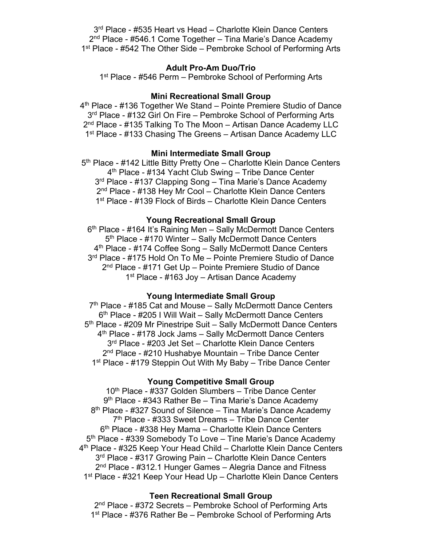3<sup>rd</sup> Place - #535 Heart vs Head – Charlotte Klein Dance Centers 2<sup>nd</sup> Place - #546.1 Come Together – Tina Marie's Dance Academy 1<sup>st</sup> Place - #542 The Other Side – Pembroke School of Performing Arts

## **Adult Pro-Am Duo/Trio**

1<sup>st</sup> Place - #546 Perm – Pembroke School of Performing Arts

### **Mini Recreational Small Group**

4th Place - #136 Together We Stand – Pointe Premiere Studio of Dance 3<sup>rd</sup> Place - #132 Girl On Fire – Pembroke School of Performing Arts 2<sup>nd</sup> Place - #135 Talking To The Moon – Artisan Dance Academy LLC 1<sup>st</sup> Place - #133 Chasing The Greens – Artisan Dance Academy LLC

#### **Mini Intermediate Small Group**

5<sup>th</sup> Place - #142 Little Bitty Pretty One – Charlotte Klein Dance Centers 4<sup>th</sup> Place - #134 Yacht Club Swing – Tribe Dance Center 3<sup>rd</sup> Place - #137 Clapping Song – Tina Marie's Dance Academy 2<sup>nd</sup> Place - #138 Hey Mr Cool – Charlotte Klein Dance Centers 1<sup>st</sup> Place - #139 Flock of Birds – Charlotte Klein Dance Centers

### **Young Recreational Small Group**

6th Place - #164 It's Raining Men – Sally McDermott Dance Centers 5<sup>th</sup> Place - #170 Winter – Sally McDermott Dance Centers 4<sup>th</sup> Place - #174 Coffee Song – Sally McDermott Dance Centers 3<sup>rd</sup> Place - #175 Hold On To Me – Pointe Premiere Studio of Dance 2nd Place - #171 Get Up – Pointe Premiere Studio of Dance 1<sup>st</sup> Place - #163 Joy – Artisan Dance Academy

#### **Young Intermediate Small Group**

 $7<sup>th</sup>$  Place - #185 Cat and Mouse – Sally McDermott Dance Centers 6<sup>th</sup> Place - #205 I Will Wait – Sally McDermott Dance Centers 5<sup>th</sup> Place - #209 Mr Pinestripe Suit – Sally McDermott Dance Centers 4th Place - #178 Jock Jams – Sally McDermott Dance Centers 3<sup>rd</sup> Place - #203 Jet Set – Charlotte Klein Dance Centers 2<sup>nd</sup> Place - #210 Hushabye Mountain – Tribe Dance Center 1<sup>st</sup> Place - #179 Steppin Out With My Baby – Tribe Dance Center

#### **Young Competitive Small Group**

10th Place - #337 Golden Slumbers – Tribe Dance Center 9<sup>th</sup> Place - #343 Rather Be – Tina Marie's Dance Academy 8<sup>th</sup> Place - #327 Sound of Silence – Tina Marie's Dance Academy 7th Place - #333 Sweet Dreams – Tribe Dance Center 6<sup>th</sup> Place - #338 Hey Mama – Charlotte Klein Dance Centers 5<sup>th</sup> Place - #339 Somebody To Love – Tine Marie's Dance Academy 4th Place - #325 Keep Your Head Child – Charlotte Klein Dance Centers 3<sup>rd</sup> Place - #317 Growing Pain – Charlotte Klein Dance Centers 2<sup>nd</sup> Place - #312.1 Hunger Games – Alegria Dance and Fitness 1<sup>st</sup> Place - #321 Keep Your Head Up – Charlotte Klein Dance Centers

#### **Teen Recreational Small Group**

2<sup>nd</sup> Place - #372 Secrets – Pembroke School of Performing Arts 1<sup>st</sup> Place - #376 Rather Be – Pembroke School of Performing Arts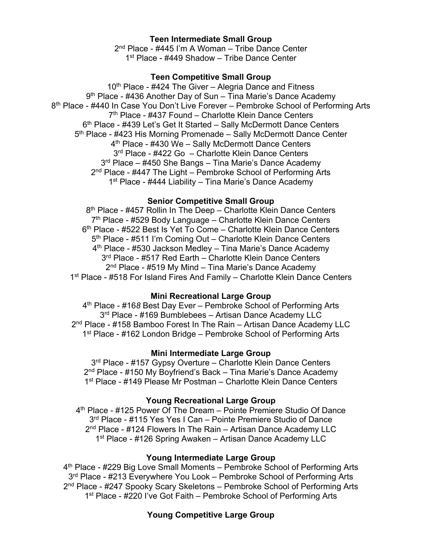# **Teen Intermediate Small Group**

2<sup>nd</sup> Place - #445 I'm A Woman – Tribe Dance Center 1<sup>st</sup> Place - #449 Shadow – Tribe Dance Center

### **Teen Competitive Small Group**

 $10<sup>th</sup>$  Place - #424 The Giver – Alegria Dance and Fitness 9<sup>th</sup> Place - #436 Another Day of Sun – Tina Marie's Dance Academy 8<sup>th</sup> Place - #440 In Case You Don't Live Forever – Pembroke School of Performing Arts 7th Place - #437 Found – Charlotte Klein Dance Centers 6<sup>th</sup> Place - #439 Let's Get It Started – Sally McDermott Dance Centers 5<sup>th</sup> Place - #423 His Morning Promenade – Sally McDermott Dance Center 4<sup>th</sup> Place - #430 We – Sally McDermott Dance Centers 3<sup>rd</sup> Place - #422 Go - Charlotte Klein Dance Centers 3<sup>rd</sup> Place – #450 She Bangs – Tina Marie's Dance Academy 2<sup>nd</sup> Place - #447 The Light – Pembroke School of Performing Arts 1<sup>st</sup> Place - #444 Liability – Tina Marie's Dance Academy

# **Senior Competitive Small Group**

8<sup>th</sup> Place - #457 Rollin In The Deep – Charlotte Klein Dance Centers  $7<sup>th</sup>$  Place - #529 Body Language – Charlotte Klein Dance Centers 6th Place - #522 Best Is Yet To Come – Charlotte Klein Dance Centers 5<sup>th</sup> Place - #511 I'm Coming Out – Charlotte Klein Dance Centers 4th Place - #530 Jackson Medley – Tina Marie's Dance Academy 3<sup>rd</sup> Place - #517 Red Earth – Charlotte Klein Dance Centers  $2<sup>nd</sup>$  Place - #519 My Mind – Tina Marie's Dance Academy 1<sup>st</sup> Place - #518 For Island Fires And Family – Charlotte Klein Dance Centers

### **Mini Recreational Large Group**

4th Place - #16*8* Best Day Ever – Pembroke School of Performing Arts 3<sup>rd</sup> Place - #169 Bumblebees - Artisan Dance Academy LLC 2<sup>nd</sup> Place - #158 Bamboo Forest In The Rain – Artisan Dance Academy LLC 1<sup>st</sup> Place - #162 London Bridge – Pembroke School of Performing Arts

### **Mini Intermediate Large Group**

3<sup>rd</sup> Place - #157 Gypsy Overture – Charlotte Klein Dance Centers 2<sup>nd</sup> Place - #150 My Boyfriend's Back – Tina Marie's Dance Academy 1<sup>st</sup> Place - #149 Please Mr Postman – Charlotte Klein Dance Centers

### **Young Recreational Large Group**

4<sup>th</sup> Place - #125 Power Of The Dream – Pointe Premiere Studio Of Dance 3<sup>rd</sup> Place - #115 Yes Yes I Can – Pointe Premiere Studio of Dance 2<sup>nd</sup> Place - #124 Flowers In The Rain – Artisan Dance Academy LLC 1<sup>st</sup> Place - #126 Spring Awaken – Artisan Dance Academy LLC

### **Young Intermediate Large Group**

4<sup>th</sup> Place - #229 Big Love Small Moments – Pembroke School of Performing Arts 3<sup>rd</sup> Place - #213 Everywhere You Look – Pembroke School of Performing Arts 2<sup>nd</sup> Place - #247 Spooky Scary Skeletons – Pembroke School of Performing Arts 1<sup>st</sup> Place - #220 I've Got Faith – Pembroke School of Performing Arts

# **Young Competitive Large Group**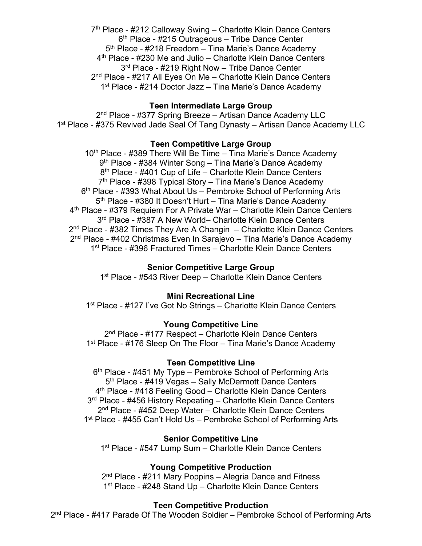$7<sup>th</sup>$  Place - #212 Calloway Swing – Charlotte Klein Dance Centers 6th Place - #215 Outrageous – Tribe Dance Center 5<sup>th</sup> Place - #218 Freedom – Tina Marie's Dance Academy 4<sup>th</sup> Place - #230 Me and Julio – Charlotte Klein Dance Centers 3<sup>rd</sup> Place - #219 Right Now – Tribe Dance Center 2<sup>nd</sup> Place - #217 All Eyes On Me - Charlotte Klein Dance Centers 1<sup>st</sup> Place - #214 Doctor Jazz – Tina Marie's Dance Academy

# **Teen Intermediate Large Group**

2<sup>nd</sup> Place - #377 Spring Breeze – Artisan Dance Academy LLC 1<sup>st</sup> Place - #375 Revived Jade Seal Of Tang Dynasty – Artisan Dance Academy LLC

# **Teen Competitive Large Group**

10<sup>th</sup> Place - #389 There Will Be Time - Tina Marie's Dance Academy 9<sup>th</sup> Place - #384 Winter Song – Tina Marie's Dance Academy 8<sup>th</sup> Place - #401 Cup of Life – Charlotte Klein Dance Centers  $7<sup>th</sup>$  Place - #398 Typical Story – Tina Marie's Dance Academy 6th Place - #393 What About Us – Pembroke School of Performing Arts 5<sup>th</sup> Place - #380 It Doesn't Hurt – Tina Marie's Dance Academy 4th Place - #379 Requiem For A Private War – Charlotte Klein Dance Centers 3<sup>rd</sup> Place - #387 A New World– Charlotte Klein Dance Centers  $2<sup>nd</sup>$  Place - #382 Times They Are A Changin – Charlotte Klein Dance Centers 2nd Place - #402 Christmas Even In Sarajevo – Tina Marie's Dance Academy 1<sup>st</sup> Place - #396 Fractured Times – Charlotte Klein Dance Centers

# **Senior Competitive Large Group**

1<sup>st</sup> Place - #543 River Deep – Charlotte Klein Dance Centers

### **Mini Recreational Line**

1<sup>st</sup> Place - #127 I've Got No Strings – Charlotte Klein Dance Centers

# **Young Competitive Line**

2<sup>nd</sup> Place - #177 Respect – Charlotte Klein Dance Centers 1<sup>st</sup> Place - #176 Sleep On The Floor – Tina Marie's Dance Academy

### **Teen Competitive Line**

6<sup>th</sup> Place - #451 My Type – Pembroke School of Performing Arts 5<sup>th</sup> Place - #419 Vegas – Sally McDermott Dance Centers 4th Place - #418 Feeling Good – Charlotte Klein Dance Centers 3<sup>rd</sup> Place - #456 History Repeating – Charlotte Klein Dance Centers 2<sup>nd</sup> Place - #452 Deep Water – Charlotte Klein Dance Centers 1<sup>st</sup> Place - #455 Can't Hold Us – Pembroke School of Performing Arts

### **Senior Competitive Line**

1<sup>st</sup> Place - #547 Lump Sum – Charlotte Klein Dance Centers

### **Young Competitive Production**

2<sup>nd</sup> Place - #211 Mary Poppins – Alegria Dance and Fitness 1<sup>st</sup> Place - #248 Stand Up – Charlotte Klein Dance Centers

### **Teen Competitive Production**

2<sup>nd</sup> Place - #417 Parade Of The Wooden Soldier – Pembroke School of Performing Arts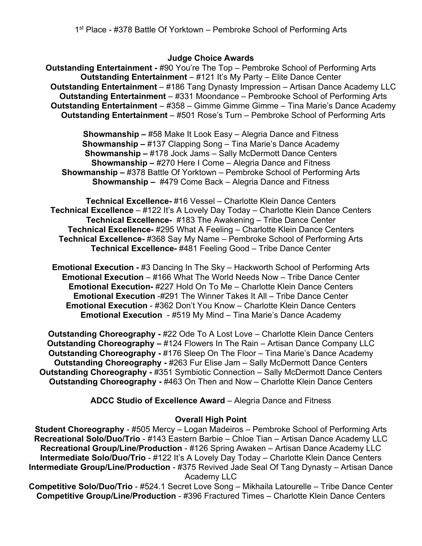# **Judge Choice Awards**

**Outstanding Entertainment -** #90 You're The Top – Pembroke School of Performing Arts **Outstanding Entertainment** – #121 It's My Party – Elite Dance Center **Outstanding Entertainment** – #186 Tang Dynasty Impression – Artisan Dance Academy LLC **Outstanding Entertainment** – #331 Moondance – Pembrooke School of Performing Arts **Outstanding Entertainment** – #358 – Gimme Gimme Gimme – Tina Marie's Dance Academy **Outstanding Entertainment** – #501 Rose's Turn – Pembroke School of Performing Arts

**Showmanship –** #58 Make It Look Easy – Alegria Dance and Fitness **Showmanship –** #137 Clapping Song – Tina Marie's Dance Academy **Showmanship –** #178 Jock Jams – Sally McDermott Dance Centers **Showmanship –** #270 Here I Come – Alegria Dance and Fitness **Showmanship –** #378 Battle Of Yorktown – Pembroke School of Performing Arts **Showmanship –** #479 Come Back – Alegria Dance and Fitness

**Technical Excellence-** #16 Vessel – Charlotte Klein Dance Centers **Technical Excellence** – #122 It's A Lovely Day Today – Charlotte Klein Dance Centers **Technical Excellence-** #183 The Awakening – Tribe Dance Center **Technical Excellence-** #295 What A Feeling – Charlotte Klein Dance Centers **Technical Excellence-** #368 Say My Name – Pembroke School of Performing Arts **Technical Excellence-** #481 Feeling Good – Tribe Dance Center

**Emotional Execution -** #3 Dancing In The Sky – Hackworth School of Performing Arts **Emotional Execution** – #166 What The World Needs Now – Tribe Dance Center **Emotional Execution-** #227 Hold On To Me – Charlotte Klein Dance Centers **Emotional Execution** -#291 The Winner Takes It All – Tribe Dance Center **Emotional Execution** - #362 Don't You Know – Charlotte Klein Dance Centers **Emotional Execution** - #519 My Mind – Tina Marie's Dance Academy

**Outstanding Choreography -** #22 Ode To A Lost Love – Charlotte Klein Dance Centers **Outstanding Choreography –** #124 Flowers In The Rain – Artisan Dance Company LLC **Outstanding Choreography -** #176 Sleep On The Floor – Tina Marie's Dance Academy **Outstanding Choreography -** #263 Fur Elise Jam – Sally McDermott Dance Centers **Outstanding Choreography -** #351 Symbiotic Connection – Sally McDermott Dance Centers **Outstanding Choreography -** #463 On Then and Now – Charlotte Klein Dance Centers

**ADCC Studio of Excellence Award** – Alegria Dance and Fitness

### **Overall High Point**

**Student Choreography** - #505 Mercy – Logan Madeiros – Pembroke School of Performing Arts **Recreational Solo/Duo/Trio** - #143 Eastern Barbie – Chloe Tian – Artisan Dance Academy LLC **Recreational Group/Line/Production** - #126 Spring Awaken – Artisan Dance Academy LLC **Intermediate Solo/Duo/Trio** - #122 It's A Lovely Day Today – Charlotte Klein Dance Centers **Intermediate Group/Line/Production - #375 Revived Jade Seal Of Tang Dynasty – Artisan Dance** Academy LLC

**Competitive Solo/Duo/Trio** - #524.1 Secret Love Song – Mikhaila Latourelle – Tribe Dance Center **Competitive Group/Line/Production** - #396 Fractured Times – Charlotte Klein Dance Centers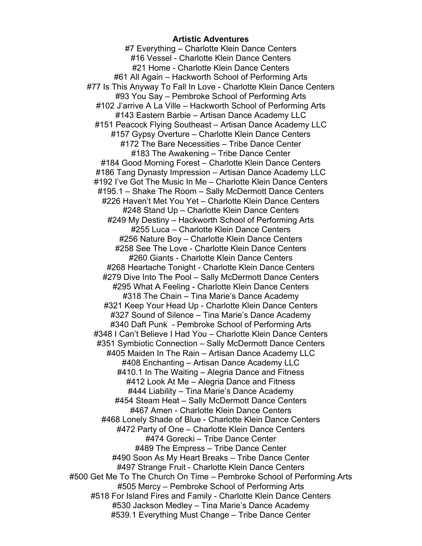#### **Artistic Adventures**

#7 Everything – Charlotte Klein Dance Centers #16 Vessel - Charlotte Klein Dance Centers #21 Home - Charlotte Klein Dance Centers #61 All Again – Hackworth School of Performing Arts #77 Is This Anyway To Fall In Love - Charlotte Klein Dance Centers #93 You Say – Pembroke School of Performing Arts #102 J'arrive A La Ville – Hackworth School of Performing Arts #143 Eastern Barbie – Artisan Dance Academy LLC #151 Peacock Flying Southeast – Artisan Dance Academy LLC #157 Gypsy Overture – Charlotte Klein Dance Centers #172 The Bare Necessities – Tribe Dance Center #183 The Awakening – Tribe Dance Center #184 Good Morning Forest – Charlotte Klein Dance Centers #186 Tang Dynasty Impression – Artisan Dance Academy LLC #192 I've Got The Music In Me – Charlotte Klein Dance Centers #195.1 – Shake The Room – Sally McDermott Dance Centers #226 Haven't Met You Yet – Charlotte Klein Dance Centers #248 Stand Up – Charlotte Klein Dance Centers #249 My Destiny – Hackworth School of Performing Arts #255 Luca – Charlotte Klein Dance Centers #256 Nature Boy – Charlotte Klein Dance Centers #258 See The Love - Charlotte Klein Dance Centers #260 Giants - Charlotte Klein Dance Centers #268 Heartache Tonight - Charlotte Klein Dance Centers #279 Dive Into The Pool – Sally McDermott Dance Centers #295 What A Feeling - Charlotte Klein Dance Centers #318 The Chain – Tina Marie's Dance Academy #321 Keep Your Head Up - Charlotte Klein Dance Centers #327 Sound of Silence – Tina Marie's Dance Academy #340 Daft Punk - Pembroke School of Performing Arts #348 I Can't Believe I Had You – Charlotte Klein Dance Centers #351 Symbiotic Connection – Sally McDermott Dance Centers #405 Maiden In The Rain – Artisan Dance Academy LLC #408 Enchanting – Artisan Dance Academy LLC #410.1 In The Waiting – Alegria Dance and Fitness #412 Look At Me – Alegria Dance and Fitness #444 Liability – Tina Marie's Dance Academy #454 Steam Heat – Sally McDermott Dance Centers #467 Amen - Charlotte Klein Dance Centers #468 Lonely Shade of Blue - Charlotte Klein Dance Centers #472 Party of One – Charlotte Klein Dance Centers #474 Gorecki – Tribe Dance Center #489 The Empress – Tribe Dance Center #490 Soon As My Heart Breaks – Tribe Dance Center #497 Strange Fruit - Charlotte Klein Dance Centers #500 Get Me To The Church On Time – Pembroke School of Performing Arts #505 Mercy – Pembroke School of Performing Arts #518 For Island Fires and Family - Charlotte Klein Dance Centers #530 Jackson Medley – Tina Marie's Dance Academy #539.1 Everything Must Change – Tribe Dance Center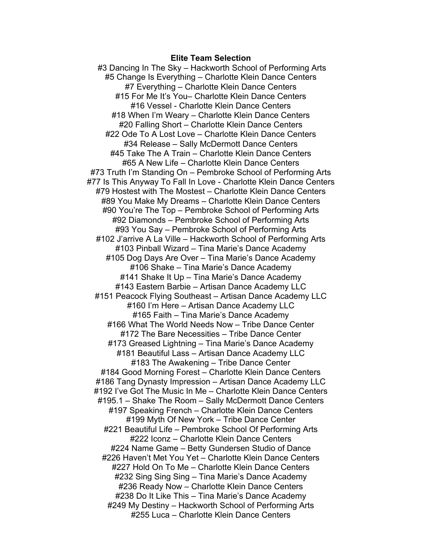#### **Elite Team Selection**

#3 Dancing In The Sky – Hackworth School of Performing Arts #5 Change Is Everything – Charlotte Klein Dance Centers #7 Everything – Charlotte Klein Dance Centers #15 For Me It's You– Charlotte Klein Dance Centers #16 Vessel - Charlotte Klein Dance Centers #18 When I'm Weary – Charlotte Klein Dance Centers #20 Falling Short – Charlotte Klein Dance Centers #22 Ode To A Lost Love – Charlotte Klein Dance Centers #34 Release – Sally McDermott Dance Centers #45 Take The A Train – Charlotte Klein Dance Centers #65 A New Life – Charlotte Klein Dance Centers #73 Truth I'm Standing On – Pembroke School of Performing Arts #77 Is This Anyway To Fall In Love - Charlotte Klein Dance Centers #79 Hostest with The Mostest – Charlotte Klein Dance Centers #89 You Make My Dreams – Charlotte Klein Dance Centers #90 You're The Top – Pembroke School of Performing Arts #92 Diamonds – Pembroke School of Performing Arts #93 You Say – Pembroke School of Performing Arts #102 J'arrive A La Ville – Hackworth School of Performing Arts #103 Pinball Wizard – Tina Marie's Dance Academy #105 Dog Days Are Over – Tina Marie's Dance Academy #106 Shake – Tina Marie's Dance Academy #141 Shake It Up – Tina Marie's Dance Academy #143 Eastern Barbie – Artisan Dance Academy LLC #151 Peacock Flying Southeast – Artisan Dance Academy LLC #160 I'm Here – Artisan Dance Academy LLC #165 Faith – Tina Marie's Dance Academy #166 What The World Needs Now – Tribe Dance Center #172 The Bare Necessities – Tribe Dance Center #173 Greased Lightning – Tina Marie's Dance Academy #181 Beautiful Lass – Artisan Dance Academy LLC #183 The Awakening – Tribe Dance Center #184 Good Morning Forest – Charlotte Klein Dance Centers #186 Tang Dynasty Impression – Artisan Dance Academy LLC #192 I've Got The Music In Me – Charlotte Klein Dance Centers #195.1 – Shake The Room – Sally McDermott Dance Centers #197 Speaking French – Charlotte Klein Dance Centers #199 Myth Of New York – Tribe Dance Center #221 Beautiful Life – Pembroke School Of Performing Arts #222 Iconz – Charlotte Klein Dance Centers #224 Name Game – Betty Gundersen Studio of Dance #226 Haven't Met You Yet – Charlotte Klein Dance Centers #227 Hold On To Me – Charlotte Klein Dance Centers #232 Sing Sing Sing – Tina Marie's Dance Academy #236 Ready Now – Charlotte Klein Dance Centers #238 Do It Like This – Tina Marie's Dance Academy #249 My Destiny – Hackworth School of Performing Arts #255 Luca – Charlotte Klein Dance Centers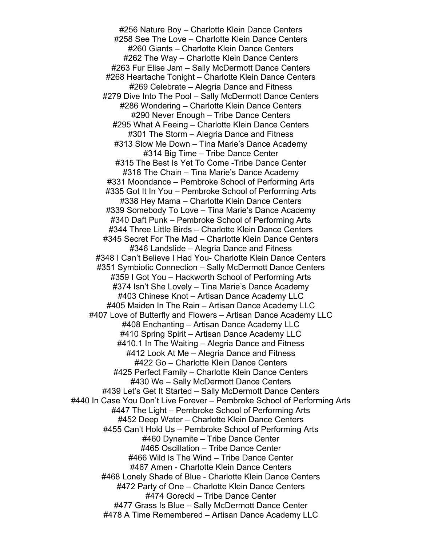#256 Nature Boy – Charlotte Klein Dance Centers #258 See The Love – Charlotte Klein Dance Centers #260 Giants – Charlotte Klein Dance Centers #262 The Way – Charlotte Klein Dance Centers #263 Fur Elise Jam – Sally McDermott Dance Centers #268 Heartache Tonight – Charlotte Klein Dance Centers #269 Celebrate – Alegria Dance and Fitness #279 Dive Into The Pool – Sally McDermott Dance Centers #286 Wondering – Charlotte Klein Dance Centers #290 Never Enough – Tribe Dance Centers #295 What A Feeing – Charlotte Klein Dance Centers #301 The Storm – Alegria Dance and Fitness #313 Slow Me Down – Tina Marie's Dance Academy #314 Big Time – Tribe Dance Center #315 The Best Is Yet To Come -Tribe Dance Center #318 The Chain – Tina Marie's Dance Academy #331 Moondance – Pembroke School of Performing Arts #335 Got It In You – Pembroke School of Performing Arts #338 Hey Mama – Charlotte Klein Dance Centers #339 Somebody To Love – Tina Marie's Dance Academy #340 Daft Punk – Pembroke School of Performing Arts #344 Three Little Birds – Charlotte Klein Dance Centers #345 Secret For The Mad – Charlotte Klein Dance Centers #346 Landslide – Alegria Dance and Fitness #348 I Can't Believe I Had You- Charlotte Klein Dance Centers #351 Symbiotic Connection – Sally McDermott Dance Centers #359 I Got You – Hackworth School of Performing Arts #374 Isn't She Lovely – Tina Marie's Dance Academy #403 Chinese Knot – Artisan Dance Academy LLC #405 Maiden In The Rain – Artisan Dance Academy LLC #407 Love of Butterfly and Flowers – Artisan Dance Academy LLC #408 Enchanting – Artisan Dance Academy LLC #410 Spring Spirit – Artisan Dance Academy LLC #410.1 In The Waiting – Alegria Dance and Fitness #412 Look At Me – Alegria Dance and Fitness #422 Go – Charlotte Klein Dance Centers #425 Perfect Family – Charlotte Klein Dance Centers #430 We – Sally McDermott Dance Centers #439 Let's Get It Started – Sally McDermott Dance Centers #440 In Case You Don't Live Forever – Pembroke School of Performing Arts #447 The Light – Pembroke School of Performing Arts #452 Deep Water – Charlotte Klein Dance Centers #455 Can't Hold Us – Pembroke School of Performing Arts #460 Dynamite – Tribe Dance Center #465 Oscillation – Tribe Dance Center #466 Wild Is The Wind – Tribe Dance Center #467 Amen - Charlotte Klein Dance Centers #468 Lonely Shade of Blue - Charlotte Klein Dance Centers #472 Party of One – Charlotte Klein Dance Centers #474 Gorecki – Tribe Dance Center #477 Grass Is Blue – Sally McDermott Dance Center #478 A Time Remembered – Artisan Dance Academy LLC